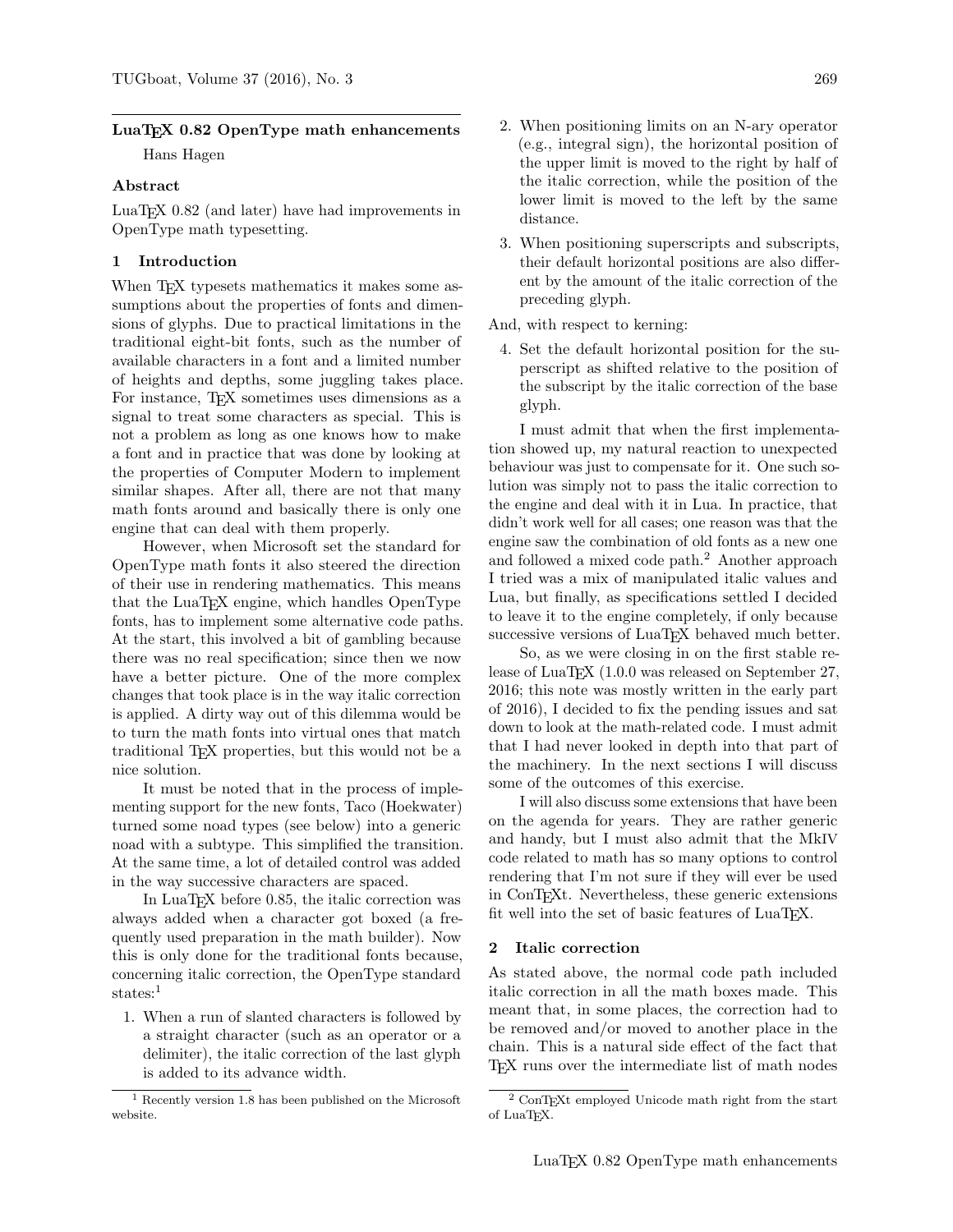# LuaT<sub>EX</sub> 0.82 OpenType math enhancements

Hans Hagen

# Abstract

LuaTEX 0.82 (and later) have had improvements in OpenType math typesetting.

# 1 Introduction

When T<sub>FX</sub> typesets mathematics it makes some assumptions about the properties of fonts and dimensions of glyphs. Due to practical limitations in the traditional eight-bit fonts, such as the number of available characters in a font and a limited number of heights and depths, some juggling takes place. For instance, TEX sometimes uses dimensions as a signal to treat some characters as special. This is not a problem as long as one knows how to make a font and in practice that was done by looking at the properties of Computer Modern to implement similar shapes. After all, there are not that many math fonts around and basically there is only one engine that can deal with them properly.

However, when Microsoft set the standard for OpenType math fonts it also steered the direction of their use in rendering mathematics. This means that the LuaTEX engine, which handles OpenType fonts, has to implement some alternative code paths. At the start, this involved a bit of gambling because there was no real specification; since then we now have a better picture. One of the more complex changes that took place is in the way italic correction is applied. A dirty way out of this dilemma would be to turn the math fonts into virtual ones that match traditional TEX properties, but this would not be a nice solution.

It must be noted that in the process of implementing support for the new fonts, Taco (Hoekwater) turned some noad types (see below) into a generic noad with a subtype. This simplified the transition. At the same time, a lot of detailed control was added in the way successive characters are spaced.

In LuaTEX before 0.85, the italic correction was always added when a character got boxed (a frequently used preparation in the math builder). Now this is only done for the traditional fonts because, concerning italic correction, the OpenType standard states:<sup>1</sup>

1. When a run of slanted characters is followed by a straight character (such as an operator or a delimiter), the italic correction of the last glyph is added to its advance width.

- 2. When positioning limits on an N-ary operator (e.g., integral sign), the horizontal position of the upper limit is moved to the right by half of the italic correction, while the position of the lower limit is moved to the left by the same distance.
- 3. When positioning superscripts and subscripts, their default horizontal positions are also different by the amount of the italic correction of the preceding glyph.

And, with respect to kerning:

4. Set the default horizontal position for the superscript as shifted relative to the position of the subscript by the italic correction of the base glyph.

I must admit that when the first implementation showed up, my natural reaction to unexpected behaviour was just to compensate for it. One such solution was simply not to pass the italic correction to the engine and deal with it in Lua. In practice, that didn't work well for all cases; one reason was that the engine saw the combination of old fonts as a new one and followed a mixed code path.<sup>2</sup> Another approach I tried was a mix of manipulated italic values and Lua, but finally, as specifications settled I decided to leave it to the engine completely, if only because successive versions of LuaT<sub>EX</sub> behaved much better.

So, as we were closing in on the first stable release of LuaT<sub>EX</sub> (1.0.0 was released on September 27, 2016; this note was mostly written in the early part of 2016), I decided to fix the pending issues and sat down to look at the math-related code. I must admit that I had never looked in depth into that part of the machinery. In the next sections I will discuss some of the outcomes of this exercise.

I will also discuss some extensions that have been on the agenda for years. They are rather generic and handy, but I must also admit that the MkIV code related to math has so many options to control rendering that I'm not sure if they will ever be used in ConTEXt. Nevertheless, these generic extensions fit well into the set of basic features of LuaT<sub>EX</sub>.

# 2 Italic correction

As stated above, the normal code path included italic correction in all the math boxes made. This meant that, in some places, the correction had to be removed and/or moved to another place in the chain. This is a natural side effect of the fact that TEX runs over the intermediate list of math nodes

<sup>1</sup> Recently version 1.8 has been published on the Microsoft website.

<sup>2</sup> ConTEXt employed Unicode math right from the start of LuaTFX.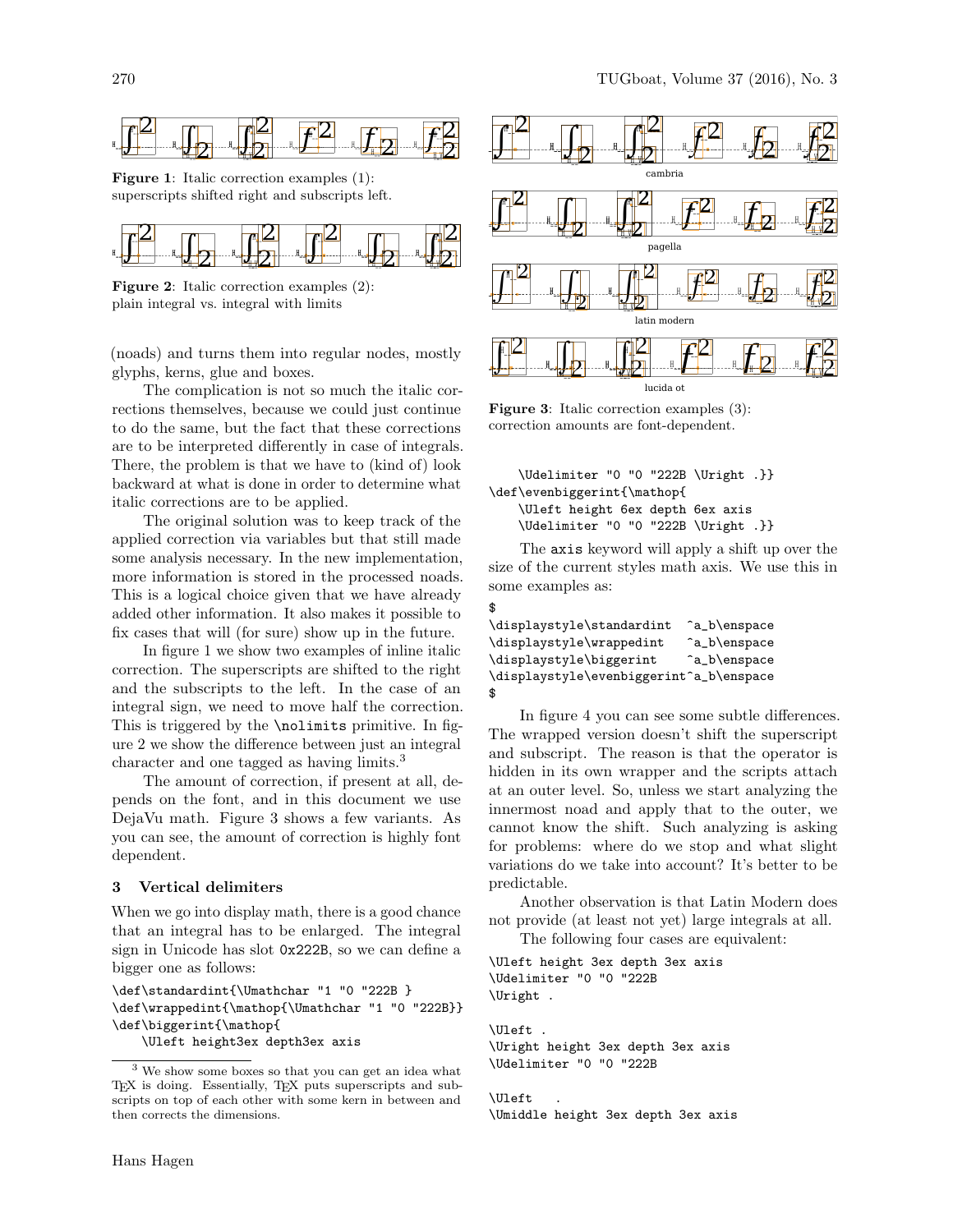

Figure 1: Italic correction examples (1): superscripts shifted right and subscripts left.



Figure 2: Italic correction examples (2): plain integral vs. integral with limits

(noads) and turns them into regular nodes, mostly glyphs, kerns, glue and boxes.

The complication is not so much the italic corrections themselves, because we could just continue to do the same, but the fact that these corrections are to be interpreted differently in case of integrals. There, the problem is that we have to (kind of) look backward at what is done in order to determine what italic corrections are to be applied.

The original solution was to keep track of the applied correction via variables but that still made some analysis necessary. In the new implementation, more information is stored in the processed noads. This is a logical choice given that we have already added other information. It also makes it possible to fix cases that will (for sure) show up in the future.

In figure 1 we show two examples of inline italic correction. The superscripts are shifted to the right and the subscripts to the left. In the case of an integral sign, we need to move half the correction. This is triggered by the \nolimits primitive. In figure 2 we show the difference between just an integral character and one tagged as having limits.<sup>3</sup>

The amount of correction, if present at all, depends on the font, and in this document we use DejaVu math. Figure 3 shows a few variants. As you can see, the amount of correction is highly font dependent.

#### 3 Vertical delimiters

When we go into display math, there is a good chance that an integral has to be enlarged. The integral sign in Unicode has slot 0x222B, so we can define a bigger one as follows:

\def\standardint{\Umathchar "1 "0 "222B } \def\wrappedint{\mathop{\Umathchar "1 "0 "222B}} \def\biggerint{\mathop{

\Uleft height3ex depth3ex axis



Figure 3: Italic correction examples (3): correction amounts are font-dependent.

```
\Udelimiter "0 "0 "222B \Uright .}}
\def\evenbiggerint{\mathop{
   \Uleft height 6ex depth 6ex axis
   \Udelimiter "0 "0 "222B \Uright .}}
```
The axis keyword will apply a shift up over the size of the current styles math axis. We use this in some examples as:

| \displaystyle\standardint               | ^a_b\enspace |
|-----------------------------------------|--------------|
| \displaystyle\wrappedint                | ^a_b\enspace |
| \displaystyle\biggerint                 | ^a_b\enspace |
| \displaystyle\evenbiggerint^a_b\enspace |              |
| \$                                      |              |

\$

In figure 4 you can see some subtle differences. The wrapped version doesn't shift the superscript and subscript. The reason is that the operator is hidden in its own wrapper and the scripts attach at an outer level. So, unless we start analyzing the innermost noad and apply that to the outer, we cannot know the shift. Such analyzing is asking for problems: where do we stop and what slight variations do we take into account? It's better to be predictable.

Another observation is that Latin Modern does not provide (at least not yet) large integrals at all. The following four cases are equivalent:

\Uleft height 3ex depth 3ex axis

\Udelimiter "0 "0 "222B \Uright .

\Uleft . \Uright height 3ex depth 3ex axis \Udelimiter "0 "0 "222B

\Uleft . \Umiddle height 3ex depth 3ex axis

<sup>3</sup> We show some boxes so that you can get an idea what TEX is doing. Essentially, TEX puts superscripts and subscripts on top of each other with some kern in between and then corrects the dimensions.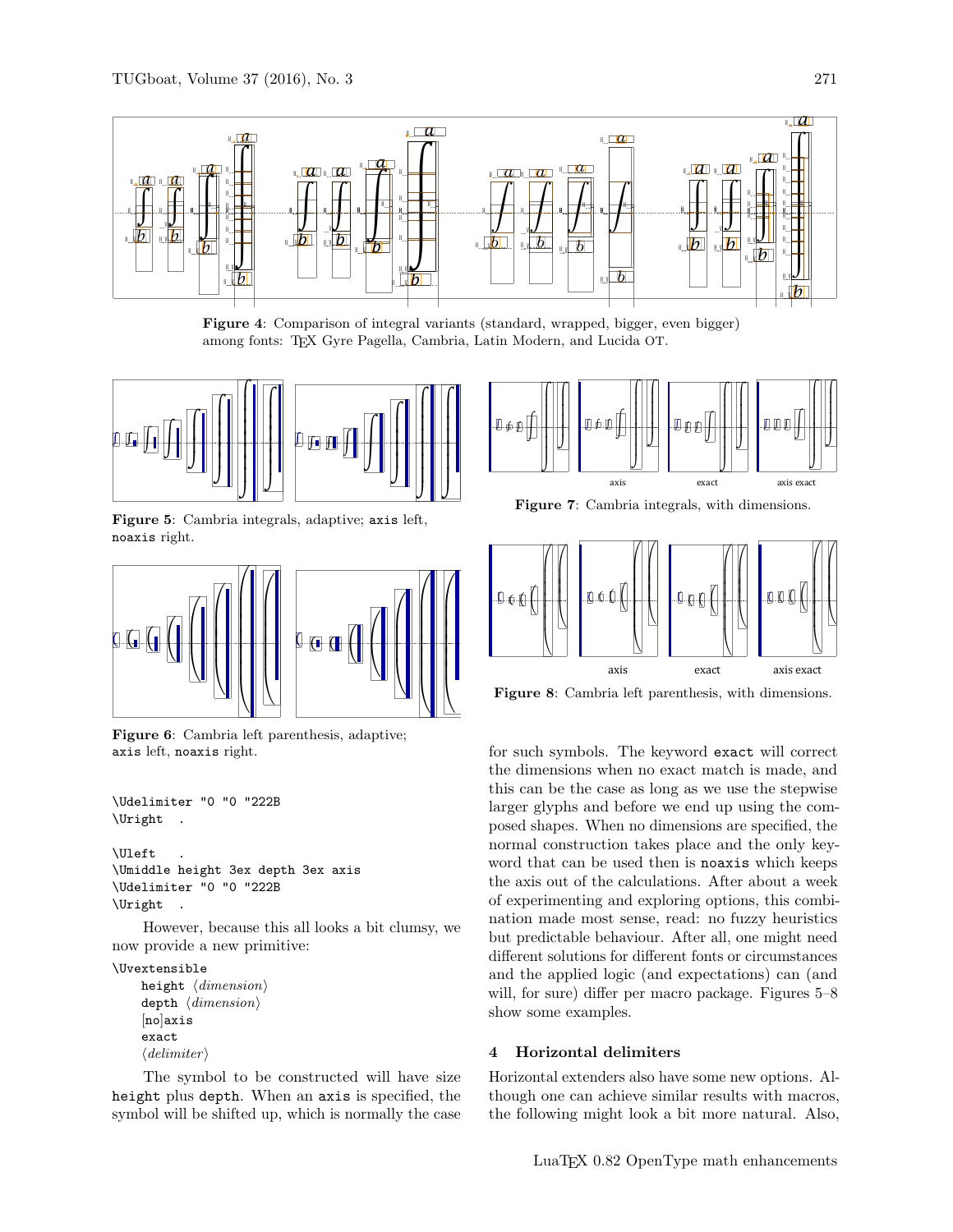

Figure 4: Comparison of integral variants (standard, wrapped, bigger, even bigger) among fonts: TEX Gyre Pagella, Cambria, Latin Modern, and Lucida OT.



Figure 5: Cambria integrals, adaptive; axis left, noaxis right.



Figure 6: Cambria left parenthesis, adaptive; axis left, noaxis right.

```
\Udelimiter "0 "0 "222B
\Uright .
```

```
\Uleft .
\Umiddle height 3ex depth 3ex axis
\Udelimiter "0 "0 "222B
\Uright .
```
However, because this all looks a bit clumsy, we now provide a new primitive:

\Uvextensible height  $\langle dimension \rangle$ depth  $\langle$  dimension $\rangle$ 

```
[no]axis
exact
\langle delimiter\rangle
```
The symbol to be constructed will have size height plus depth. When an axis is specified, the symbol will be shifted up, which is normally the case



Figure 7: Cambria integrals, with dimensions.



Figure 8: Cambria left parenthesis, with dimensions.

for such symbols. The keyword exact will correct the dimensions when no exact match is made, and this can be the case as long as we use the stepwise larger glyphs and before we end up using the composed shapes. When no dimensions are specified, the normal construction takes place and the only keyword that can be used then is noaxis which keeps the axis out of the calculations. After about a week of experimenting and exploring options, this combination made most sense, read: no fuzzy heuristics but predictable behaviour. After all, one might need different solutions for different fonts or circumstances and the applied logic (and expectations) can (and will, for sure) differ per macro package. Figures 5–8 show some examples.

# 4 Horizontal delimiters

Horizontal extenders also have some new options. Although one can achieve similar results with macros, the following might look a bit more natural. Also,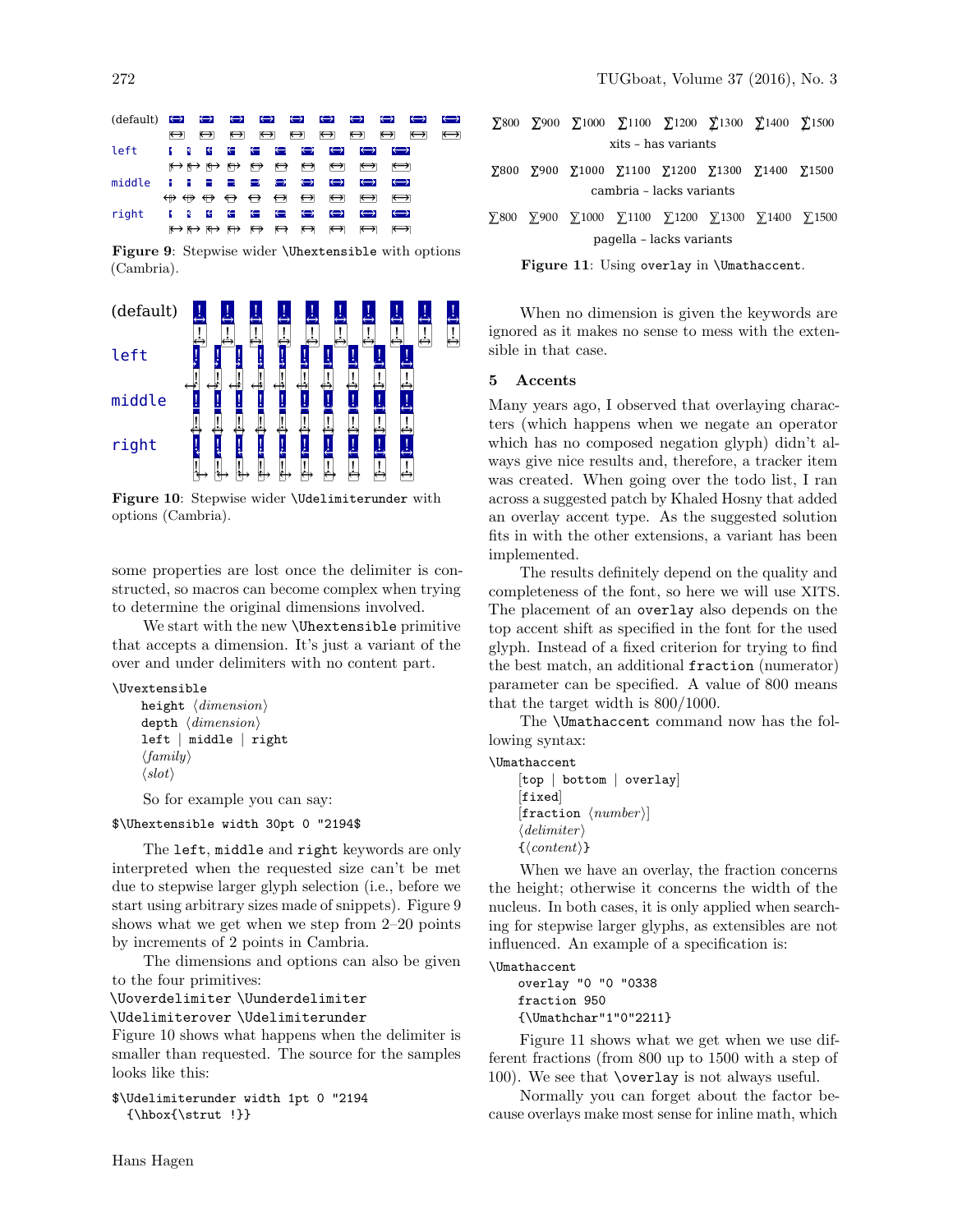| $(\text{default}) \leftrightarrow \leftrightarrow \leftrightarrow \leftrightarrow \leftrightarrow \leftrightarrow \leftrightarrow$ |                                                                                                                                                                                                                                                                                                                                                                                                                                                                                                                                                                                                                                                                                                                                                                        |                   |  |  |                                                                                                                               |                   |                       | $\leftrightarrow$ | $\leftrightarrow$ |
|------------------------------------------------------------------------------------------------------------------------------------|------------------------------------------------------------------------------------------------------------------------------------------------------------------------------------------------------------------------------------------------------------------------------------------------------------------------------------------------------------------------------------------------------------------------------------------------------------------------------------------------------------------------------------------------------------------------------------------------------------------------------------------------------------------------------------------------------------------------------------------------------------------------|-------------------|--|--|-------------------------------------------------------------------------------------------------------------------------------|-------------------|-----------------------|-------------------|-------------------|
|                                                                                                                                    | $\leftrightarrow$                                                                                                                                                                                                                                                                                                                                                                                                                                                                                                                                                                                                                                                                                                                                                      | $\leftrightarrow$ |  |  | $\leftrightarrow$ $\leftrightarrow$ $\leftrightarrow$ $\leftrightarrow$ $\leftrightarrow$ $\leftrightarrow$                   |                   |                       |                   | $\leftrightarrow$ |
| left                                                                                                                               | $\sim$ $\sim$ $\sim$ $\sim$                                                                                                                                                                                                                                                                                                                                                                                                                                                                                                                                                                                                                                                                                                                                            |                   |  |  | $\leftrightarrow$ $\leftrightarrow$ $\leftrightarrow$ $\leftrightarrow$                                                       | $\leftrightarrow$ | $\leftrightarrow$     |                   |                   |
|                                                                                                                                    |                                                                                                                                                                                                                                                                                                                                                                                                                                                                                                                                                                                                                                                                                                                                                                        |                   |  |  | $\leftrightarrow$ $\leftrightarrow$ $\leftrightarrow$ $\leftrightarrow$ $\leftrightarrow$ $\leftrightarrow$ $\leftrightarrow$ |                   | $\longleftrightarrow$ |                   |                   |
| middle $\blacksquare$ $\blacksquare$ $\blacksquare$ $\blacksquare$ $\leftrightarrow$ $\leftrightarrow$                             |                                                                                                                                                                                                                                                                                                                                                                                                                                                                                                                                                                                                                                                                                                                                                                        |                   |  |  | $\leftrightarrow$                                                                                                             | $\leftrightarrow$ | $\leftrightarrow$     |                   |                   |
|                                                                                                                                    | $\qquad \  \  \oplus \quad \  \  \oplus \quad \  \  \leftrightarrow \quad \  \  \leftrightarrow \quad \  \  \leftrightarrow \quad \  \  \leftrightarrow \quad \  \  \leftrightarrow \quad \  \  \leftrightarrow \quad \  \  \leftrightarrow \quad \  \  \leftrightarrow \quad \  \  \leftrightarrow \quad \  \  \leftrightarrow \quad \  \  \leftrightarrow \quad \  \  \leftrightarrow \quad \  \  \leftrightarrow \quad \  \  \leftrightarrow \quad \  \  \leftrightarrow \quad \  \  \leftrightarrow \quad \  \  \leftrightarrow \quad \  \  \leftrightarrow \quad \  \  \leftrightarrow \quad \  \  \leftrightarrow \quad \  \  \leftrightarrow \quad \  \  \leftrightarrow \quad \  \  \leftrightarrow \quad \  \  \leftrightarrow \quad \  \  \leftrightarrow \$ |                   |  |  |                                                                                                                               |                   |                       |                   |                   |
| right $\{ \} \{ \} \{ \} \{ \} \{ \} \{ \} \{ \} \{ \} \}$                                                                         |                                                                                                                                                                                                                                                                                                                                                                                                                                                                                                                                                                                                                                                                                                                                                                        |                   |  |  |                                                                                                                               | $\leftrightarrow$ | $\leftrightarrow$     |                   |                   |
|                                                                                                                                    |                                                                                                                                                                                                                                                                                                                                                                                                                                                                                                                                                                                                                                                                                                                                                                        |                   |  |  | $\leftrightarrow$ $\leftrightarrow$ $\leftrightarrow$ $\leftrightarrow$ $\leftrightarrow$ $\leftrightarrow$ $\leftrightarrow$ | $\leftrightarrow$ | $\leftrightarrow$     |                   |                   |

Figure 9: Stepwise wider \Uhextensible with options (Cambria).



Figure 10: Stepwise wider \Udelimiterunder with options (Cambria).

some properties are lost once the delimiter is constructed, so macros can become complex when trying to determine the original dimensions involved.

We start with the new \Uhextensible primitive that accepts a dimension. It's just a variant of the over and under delimiters with no content part.

#### \Uvextensible

height  $\langle dimension \rangle$ depth  $\langle dimension \rangle$ left | middle | right  $\langle family \rangle$  $\langle slot \rangle$ 

So for example you can say:

#### \$\Uhextensible width 30pt 0 "2194\$

The left, middle and right keywords are only interpreted when the requested size can't be met due to stepwise larger glyph selection (i.e., before we start using arbitrary sizes made of snippets). Figure 9 shows what we get when we step from 2–20 points by increments of 2 points in Cambria.

The dimensions and options can also be given to the four primitives:

\Uoverdelimiter \Uunderdelimiter

\Udelimiterover \Udelimiterunder

Figure 10 shows what happens when the delimiter is smaller than requested. The source for the samples looks like this:

```
$\Udelimiterunder width 1pt 0 "2194
  {\hbox{\sf \}strut} !}}
```
- $\Sigma$ 800 ∑900 ∑1000 ∑1100 ∑1200 ∑1300 ∑1400 ∑1500 xits – has variants
- ∑800 ∑900 ∑1000 ∑1100 ∑1200 ∑1300 ∑1400 ∑1500 cambria – lacks variants
- ̸∑800 ̸∑900 ̸∑1000 ̸∑1100 ̸∑1200 ̸∑1300 ̸∑1400 ̸∑1500 pagella – lacks variants

Figure 11: Using overlay in \Umathaccent.

When no dimension is given the keywords are ignored as it makes no sense to mess with the extensible in that case.

## 5 Accents

Many years ago, I observed that overlaying characters (which happens when we negate an operator which has no composed negation glyph) didn't always give nice results and, therefore, a tracker item was created. When going over the todo list, I ran across a suggested patch by Khaled Hosny that added an overlay accent type. As the suggested solution fits in with the other extensions, a variant has been implemented.

The results definitely depend on the quality and completeness of the font, so here we will use XITS. The placement of an overlay also depends on the top accent shift as specified in the font for the used glyph. Instead of a fixed criterion for trying to find the best match, an additional fraction (numerator) parameter can be specified. A value of 800 means that the target width is 800/1000.

The \Umathaccent command now has the following syntax:

# \Umathaccent

```
[top | bottom | overlay]
[fixed]
[fraction \langle number \rangle]
\langle delimiter\rangle\{\langle content \rangle\}
```
When we have an overlay, the fraction concerns the height; otherwise it concerns the width of the nucleus. In both cases, it is only applied when searching for stepwise larger glyphs, as extensibles are not influenced. An example of a specification is:

# \Umathaccent

overlay "0 "0 "0338 fraction 950 {\Umathchar"1"0"2211}

Figure 11 shows what we get when we use different fractions (from 800 up to 1500 with a step of 100). We see that \overlay is not always useful.

Normally you can forget about the factor because overlays make most sense for inline math, which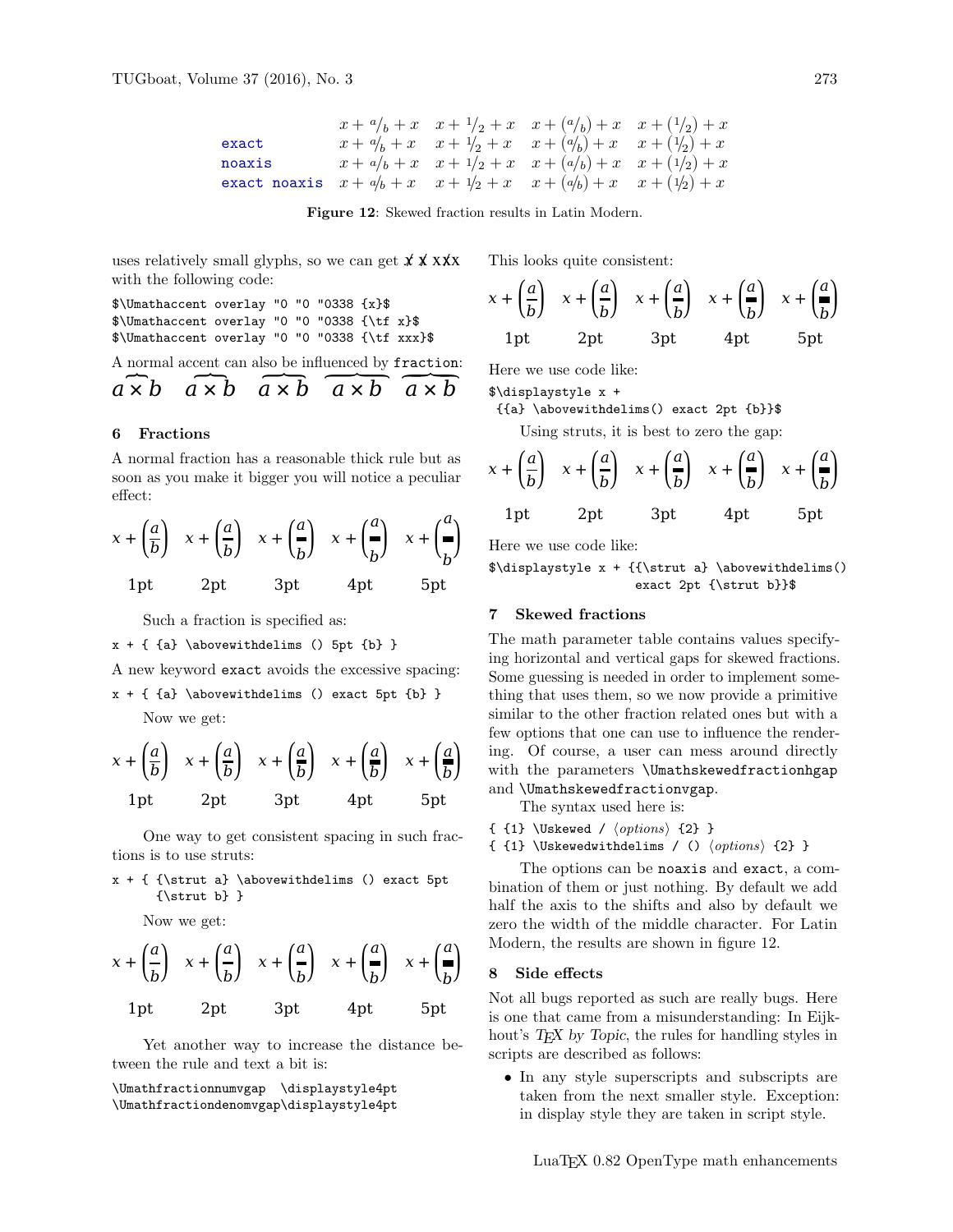$$
\begin{array}{ccccccccc} & x + a/b + x & x + 1/2 + x & x + (a/b) + x & x + (1/2) + x \\ \text{exact} & & x + a/b + x & x + 1/2 + x & x + (a/b) + x & x + (1/2) + x \\ \text{noaxis} & & x + a/b + x & x + 1/2 + x & x + (a/b) + x & x + (1/2) + x \\ \text{exact noaxis} & & x + a/b + x & x + 1/2 + x & x + (a/b) + x & x + (1/2) + x \end{array}
$$

Figure 12: Skewed fraction results in Latin Modern.

uses relatively small glyphs, so we can get  $\chi \chi \chi x$ with the following code:

 $\Upsilon$  = \Umathaccent overlay "0 "0"0338 {x}\$ \$\Umathaccent overlay "0 "0 "0338 {\tf x}\$ \$\Umathaccent overlay "0 "0 "0338 {\tf xxx}\$

A normal accent can also be influenced by fraction:  
\n
$$
a \times b
$$
  $a \times b$   $a \times b$   $a \times b$ 

# 6 Fractions

A normal fraction has a reasonable thick rule but as soon as you make it bigger you will notice a peculiar effect:

$$
x + \left(\frac{a}{b}\right) x + \left(\frac{a}{b}\right) x + \left(\frac{a}{b}\right) x + \left(\frac{a}{b}\right) x + \left(\frac{a}{b}\right)
$$
  
1pt 2pt 3pt 4pt 5pt

Such a fraction is specified as:

 $x + \{ a\} \abovevithdelims () 5pt {b} \}$ 

A new keyword exact avoids the excessive spacing:

 $x + \{ \{a\} \hbox{above} with$ delims () exact 5pt  $\{b\}$  } Now we get:

$$
x + \left(\frac{a}{b}\right) x + \left(\frac{a}{b}\right) x + \left(\frac{a}{b}\right) x + \left(\frac{a}{b}\right) x + \left(\frac{a}{b}\right)
$$
  
1pt 2pt 3pt 4pt 5pt

One way to get consistent spacing in such fractions is to use struts:

 $x + \{ \\t\t\t\} \abovevithdelims() exact 5pt\n$  $\{\text{b}\}$ 

Now we get:

$$
x + \left(\frac{a}{b}\right) x + \left(\frac{a}{b}\right) x + \left(\frac{a}{b}\right) x + \left(\frac{a}{b}\right) x + \left(\frac{a}{b}\right)
$$
  
1pt 2pt 3pt 4pt 5pt

Yet another way to increase the distance between the rule and text a bit is:

\Umathfractionnumvgap \displaystyle4pt \Umathfractiondenomvgap\displaystyle4pt This looks quite consistent:

$$
x + \left(\frac{a}{b}\right) x + \left(\frac{a}{b}\right) x + \left(\frac{a}{b}\right) x + \left(\frac{a}{b}\right) x + \left(\frac{a}{b}\right)
$$
  
1pt 2pt 3pt 4pt 5pt

Here we use code like:

\$\displaystyle x +

{{a} \abovewithdelims() exact 2pt {b}}\$

Using struts, it is best to zero the gap:

$$
x + \left(\frac{a}{b}\right) x + \left(\frac{a}{b}\right) x + \left(\frac{a}{b}\right) x + \left(\frac{a}{b}\right) x + \left(\frac{a}{b}\right)
$$
  
1pt 2pt 3pt 4pt 5pt

Here we use code like:

\$\displaystyle x + {{\strut a} \abovewithdelims() exact 2pt {\strut b}}\$

#### 7 Skewed fractions

The math parameter table contains values specifying horizontal and vertical gaps for skewed fractions. Some guessing is needed in order to implement something that uses them, so we now provide a primitive similar to the other fraction related ones but with a few options that one can use to influence the rendering. Of course, a user can mess around directly with the parameters \Umathskewedfractionhgap and \Umathskewedfractionvgap.

The syntax used here is:

 $\{ 1\}$  \Uskewed /  $\{options\}$  {2} }

{  ${1}$  \Uskewedwithdelims / ()  $\langle options \rangle {2}$  }

The options can be noaxis and exact, a combination of them or just nothing. By default we add half the axis to the shifts and also by default we zero the width of the middle character. For Latin Modern, the results are shown in figure 12.

## 8 Side effects

Not all bugs reported as such are really bugs. Here is one that came from a misunderstanding: In Eijkhout's T<sub>E</sub>X by Topic, the rules for handling styles in scripts are described as follows:

• In any style superscripts and subscripts are taken from the next smaller style. Exception: in display style they are taken in script style.